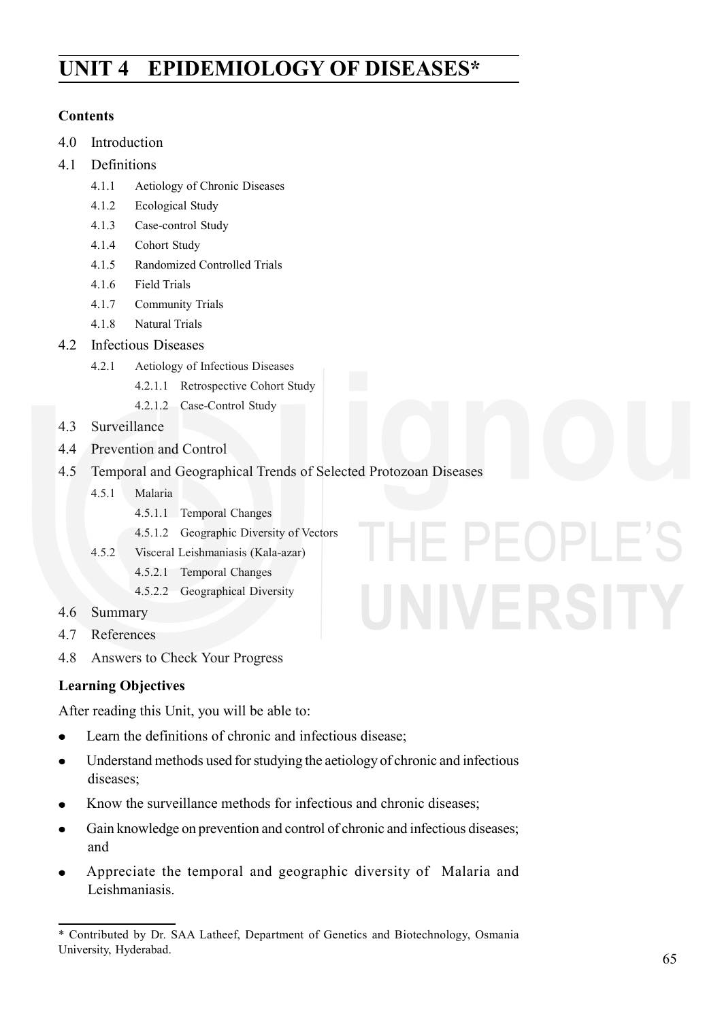# **UNIT 4 EPIDEMIOLOGY OF DISEASES\***

## **Contents**

- 4.0 Introduction
- 4.1 Definitions
	- 4.1.1 Aetiology of Chronic Diseases
	- 4.1.2 Ecological Study
	- 4.1.3 Case-control Study
	- 4.1.4 Cohort Study
	- 4.1.5 Randomized Controlled Trials
	- 4.1.6 Field Trials
	- 4.1.7 Community Trials
	- 4.1.8 Natural Trials
- 4.2 Infectious Diseases
	- 4.2.1 Aetiology of Infectious Diseases
		- 4.2.1.1 Retrospective Cohort Study
		- 4.2.1.2 Case-Control Study
- 4.3 Surveillance
- 4.4 Prevention and Control
- 4.5 Temporal and Geographical Trends of Selected Protozoan Diseases
	- 4.5.1 Malaria
		- 4.5.1.1 Temporal Changes
		- 4.5.1.2 Geographic Diversity of Vectors
	- 4.5.2 Visceral Leishmaniasis (Kala-azar)
		- 4.5.2.1 Temporal Changes
		- 4.5.2.2 Geographical Diversity
- 4.6 Summary
- 4.7 References
- 4.8 Answers to Check Your Progress

## **Learning Objectives**

After reading this Unit, you will be able to:

- Learn the definitions of chronic and infectious disease;
- $\bullet$ Understand methods used for studying the aetiology of chronic and infectious diseases;
- Know the surveillance methods for infectious and chronic diseases;
- Gain knowledge on prevention and control of chronic and infectious diseases; and
- Appreciate the temporal and geographic diversity of Malaria and Leishmaniasis.

 $\vdash$  PFOPLE

<sup>\*</sup> Contributed by Dr. SAA Latheef, Department of Genetics and Biotechnology, Osmania University, Hyderabad.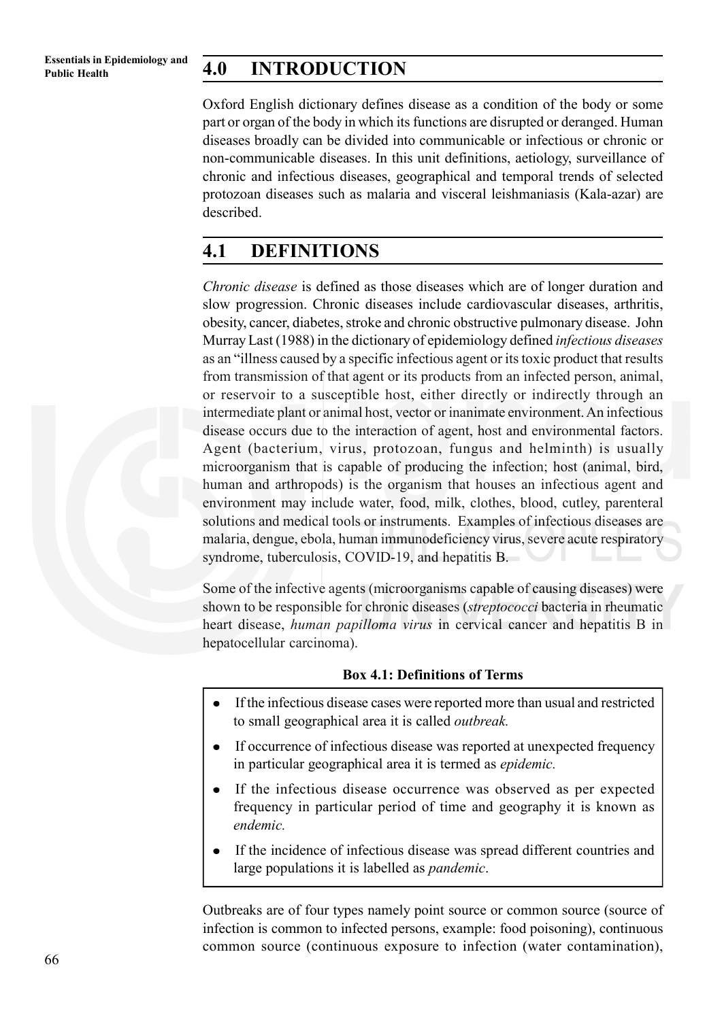# **Public Health 4.0 INTRODUCTION**

Oxford English dictionary defines disease as a condition of the body or some part or organ of the body in which its functions are disrupted or deranged. Human diseases broadly can be divided into communicable or infectious or chronic or non-communicable diseases. In this unit definitions, aetiology, surveillance of chronic and infectious diseases, geographical and temporal trends of selected protozoan diseases such as malaria and visceral leishmaniasis (Kala-azar) are described.

# **4.1 DEFINITIONS**

*Chronic disease* is defined as those diseases which are of longer duration and slow progression. Chronic diseases include cardiovascular diseases, arthritis, obesity, cancer, diabetes, stroke and chronic obstructive pulmonary disease. John Murray Last (1988) in the dictionary of epidemiology defined *infectious diseases* as an "illness caused by a specific infectious agent or its toxic product that results from transmission of that agent or its products from an infected person, animal, or reservoir to a susceptible host, either directly or indirectly through an intermediate plant or animal host, vector or inanimate environment. An infectious disease occurs due to the interaction of agent, host and environmental factors. Agent (bacterium, virus, protozoan, fungus and helminth) is usually microorganism that is capable of producing the infection; host (animal, bird, human and arthropods) is the organism that houses an infectious agent and environment may include water, food, milk, clothes, blood, cutley, parenteral solutions and medical tools or instruments. Examples of infectious diseases are malaria, dengue, ebola, human immunodeficiency virus, severe acute respiratory syndrome, tuberculosis, COVID-19, and hepatitis B.

Some of the infective agents (microorganisms capable of causing diseases) were shown to be responsible for chronic diseases (*streptococci* bacteria in rheumatic heart disease, *human papilloma virus* in cervical cancer and hepatitis B in hepatocellular carcinoma).

## **Box 4.1: Definitions of Terms**

- If the infectious disease cases were reported more than usual and restricted to small geographical area it is called *outbreak.*
- If occurrence of infectious disease was reported at unexpected frequency in particular geographical area it is termed as *epidemic.*
- If the infectious disease occurrence was observed as per expected frequency in particular period of time and geography it is known as *endemic.*
- If the incidence of infectious disease was spread different countries and large populations it is labelled as *pandemic*.

Outbreaks are of four types namely point source or common source (source of infection is common to infected persons, example: food poisoning), continuous common source (continuous exposure to infection (water contamination),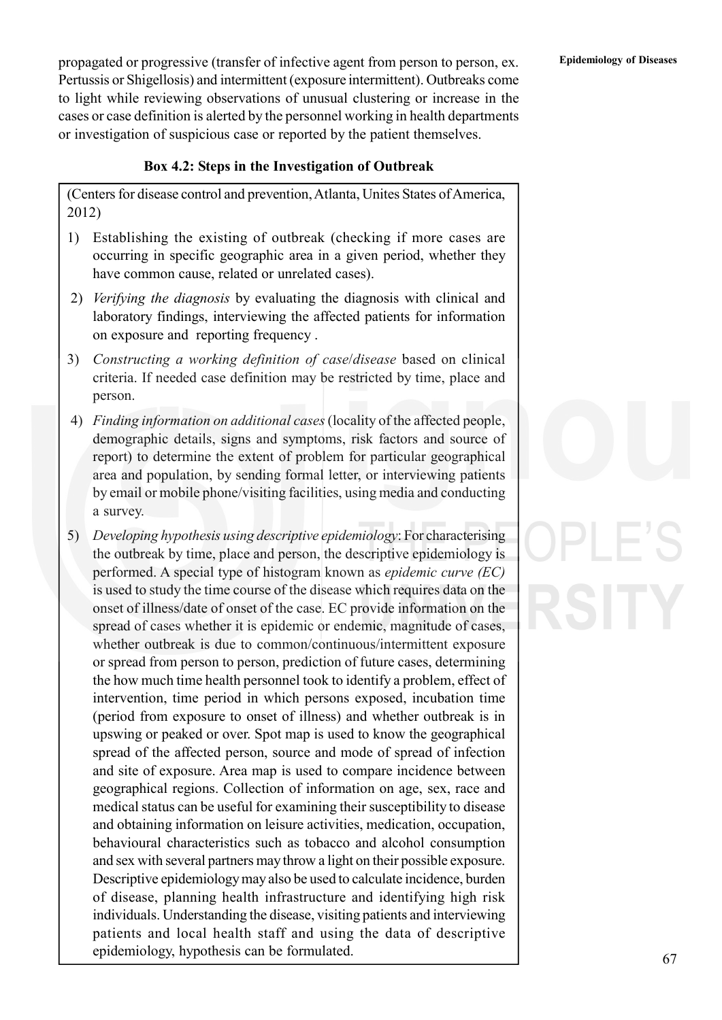propagated or progressive (transfer of infective agent from person to person, ex. **Epidemiology of Diseases** Pertussis or Shigellosis) and intermittent (exposure intermittent). Outbreaks come to light while reviewing observations of unusual clustering or increase in the cases or case definition is alerted by the personnel working in health departments or investigation of suspicious case or reported by the patient themselves.

### **Box 4.2: Steps in the Investigation of Outbreak**

(Centers for disease control and prevention, Atlanta, Unites States of America, 2012)

- 1) Establishing the existing of outbreak (checking if more cases are occurring in specific geographic area in a given period, whether they have common cause, related or unrelated cases).
- 2) *Verifying the diagnosis* by evaluating the diagnosis with clinical and laboratory findings, interviewing the affected patients for information on exposure and reporting frequency .
- 3) *Constructing a working definition of case*/*disease* based on clinical criteria. If needed case definition may be restricted by time, place and person.
- 4) *Finding information on additional cases* (locality of the affected people, demographic details, signs and symptoms, risk factors and source of report) to determine the extent of problem for particular geographical area and population, by sending formal letter, or interviewing patients by email or mobile phone/visiting facilities, using media and conducting a survey.
- 5) *Developing hypothesis using descriptive epidemiology*: For characterising the outbreak by time, place and person, the descriptive epidemiology is performed. A special type of histogram known as *epidemic curve (EC)* is used to study the time course of the disease which requires data on the onset of illness/date of onset of the case. EC provide information on the spread of cases whether it is epidemic or endemic, magnitude of cases, whether outbreak is due to common/continuous/intermittent exposure or spread from person to person, prediction of future cases, determining the how much time health personnel took to identify a problem, effect of intervention, time period in which persons exposed, incubation time (period from exposure to onset of illness) and whether outbreak is in upswing or peaked or over. Spot map is used to know the geographical spread of the affected person, source and mode of spread of infection and site of exposure. Area map is used to compare incidence between geographical regions. Collection of information on age, sex, race and medical status can be useful for examining their susceptibility to disease and obtaining information on leisure activities, medication, occupation, behavioural characteristics such as tobacco and alcohol consumption and sex with several partners may throw a light on their possible exposure. Descriptive epidemiology may also be used to calculate incidence, burden of disease, planning health infrastructure and identifying high risk individuals. Understanding the disease, visiting patients and interviewing patients and local health staff and using the data of descriptive epidemiology, hypothesis can be formulated.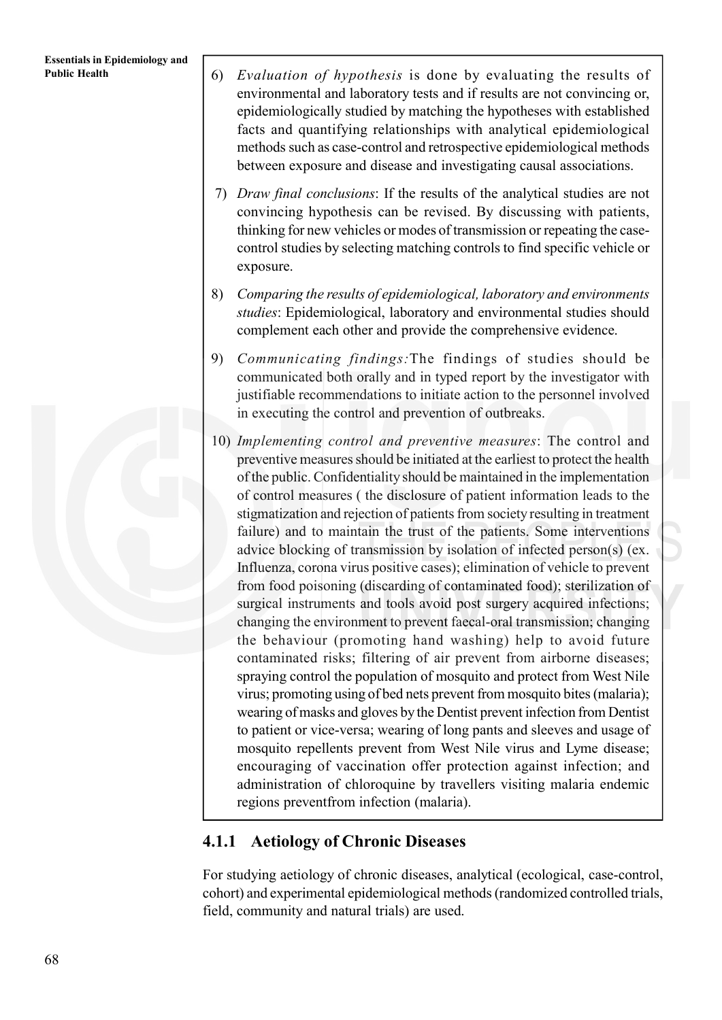- **Public Health** 6) *Evaluation of hypothesis* is done by evaluating the results of environmental and laboratory tests and if results are not convincing or, epidemiologically studied by matching the hypotheses with established facts and quantifying relationships with analytical epidemiological methods such as case-control and retrospective epidemiological methods between exposure and disease and investigating causal associations.
	- 7) *Draw final conclusions*: If the results of the analytical studies are not convincing hypothesis can be revised. By discussing with patients, thinking for new vehicles or modes of transmission or repeating the casecontrol studies by selecting matching controls to find specific vehicle or exposure.
	- 8) *Comparing the results of epidemiological, laboratory and environments studies*: Epidemiological, laboratory and environmental studies should complement each other and provide the comprehensive evidence.
	- 9) *Communicating findings:*The findings of studies should be communicated both orally and in typed report by the investigator with justifiable recommendations to initiate action to the personnel involved in executing the control and prevention of outbreaks.
	- 10) *Implementing control and preventive measures*: The control and preventive measures should be initiated at the earliest to protect the health of the public. Confidentiality should be maintained in the implementation of control measures ( the disclosure of patient information leads to the stigmatization and rejection of patients from society resulting in treatment failure) and to maintain the trust of the patients. Some interventions advice blocking of transmission by isolation of infected person(s) (ex. Influenza, corona virus positive cases); elimination of vehicle to prevent from food poisoning (discarding of contaminated food); sterilization of surgical instruments and tools avoid post surgery acquired infections; changing the environment to prevent faecal-oral transmission; changing the behaviour (promoting hand washing) help to avoid future contaminated risks; filtering of air prevent from airborne diseases; spraying control the population of mosquito and protect from West Nile virus; promoting using of bed nets prevent from mosquito bites (malaria); wearing of masks and gloves by the Dentist prevent infection from Dentist to patient or vice-versa; wearing of long pants and sleeves and usage of mosquito repellents prevent from West Nile virus and Lyme disease; encouraging of vaccination offer protection against infection; and administration of chloroquine by travellers visiting malaria endemic regions preventfrom infection (malaria).

## **4.1.1 Aetiology of Chronic Diseases**

For studying aetiology of chronic diseases, analytical (ecological, case-control, cohort) and experimental epidemiological methods (randomized controlled trials, field, community and natural trials) are used.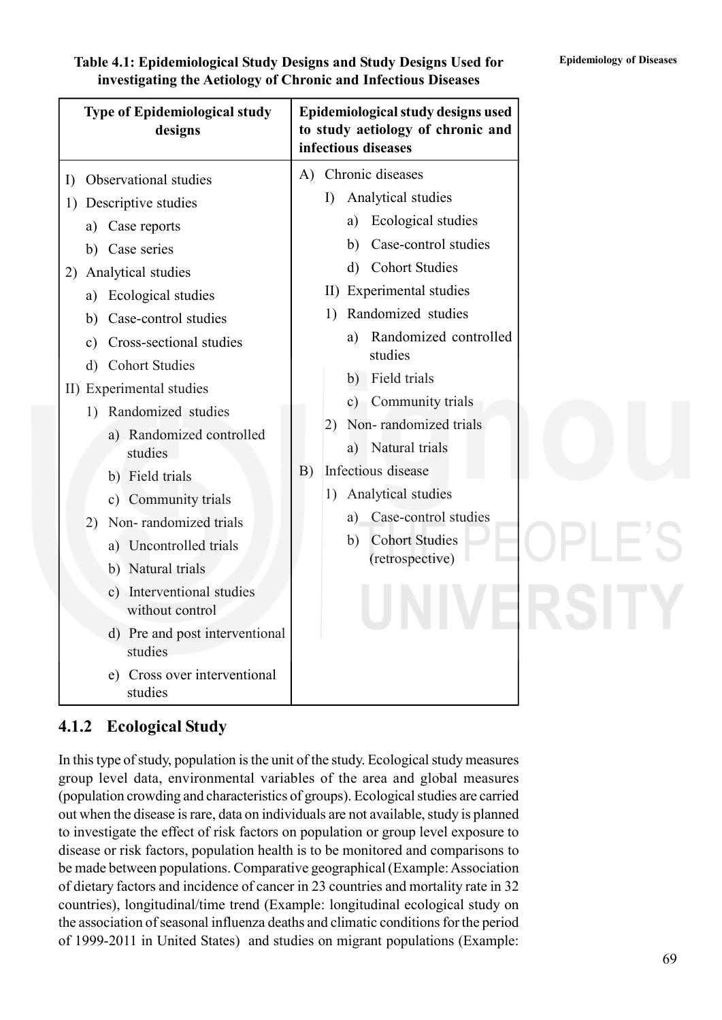## **Table 4.1: Epidemiological Study Designs and Study Designs Used for investigating the Aetiology of Chronic and Infectious Diseases**

| <b>Type of Epidemiological study</b><br>designs                                                                                                                                                                                                                                                                                                                                                                                                                                                                                | Epidemiological study designs used<br>to study aetiology of chronic and<br>infectious diseases                                                                                                                                                                                                                                                                                                                                                                      |  |  |
|--------------------------------------------------------------------------------------------------------------------------------------------------------------------------------------------------------------------------------------------------------------------------------------------------------------------------------------------------------------------------------------------------------------------------------------------------------------------------------------------------------------------------------|---------------------------------------------------------------------------------------------------------------------------------------------------------------------------------------------------------------------------------------------------------------------------------------------------------------------------------------------------------------------------------------------------------------------------------------------------------------------|--|--|
| Observational studies<br>I)<br>1) Descriptive studies<br>a) Case reports<br>b) Case series<br>2) Analytical studies<br>Ecological studies<br>a)<br>Case-control studies<br>b)<br>Cross-sectional studies<br>c)<br>d) Cohort Studies<br>II) Experimental studies<br>Randomized studies<br>$\left  \cdot \right $<br>a) Randomized controlled<br>studies<br>b) Field trials<br>c) Community trials<br>Non-randomized trials<br>2)<br>a) Uncontrolled trials<br>b) Natural trials<br>c) Interventional studies<br>without control | A) Chronic diseases<br>Analytical studies<br>$\Gamma$<br>Ecological studies<br>a)<br>Case-control studies<br>b)<br>d) Cohort Studies<br>II) Experimental studies<br>1) Randomized studies<br>Randomized controlled<br>a)<br>studies<br>b) Field trials<br>c) Community trials<br>Non-randomized trials<br>2)<br>a) Natural trials<br>Infectious disease<br>B)<br>1) Analytical studies<br>a) Case-control studies<br><b>Cohort Studies</b><br>b)<br>(retrospective) |  |  |
| d) Pre and post interventional<br>studies<br>e) Cross over interventional<br>studies                                                                                                                                                                                                                                                                                                                                                                                                                                           |                                                                                                                                                                                                                                                                                                                                                                                                                                                                     |  |  |

## **4.1.2 Ecological Study**

In this type of study, population is the unit of the study. Ecological study measures group level data, environmental variables of the area and global measures (population crowding and characteristics of groups). Ecological studies are carried out when the disease is rare, data on individuals are not available, study is planned to investigate the effect of risk factors on population or group level exposure to disease or risk factors, population health is to be monitored and comparisons to be made between populations. Comparative geographical (Example: Association of dietary factors and incidence of cancer in 23 countries and mortality rate in 32 countries), longitudinal/time trend (Example: longitudinal ecological study on the association of seasonal influenza deaths and climatic conditions for the period of 1999-2011 in United States) and studies on migrant populations (Example: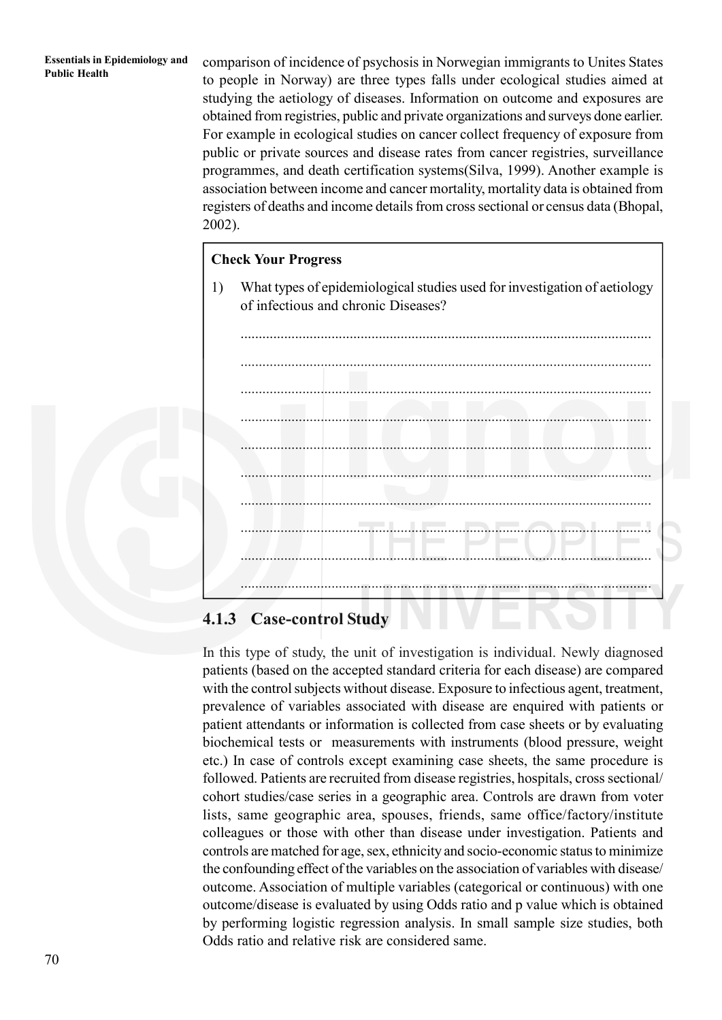**Essentials in Epidemiology and** comparison of incidence of psychosis in Norwegian immigrants to Unites States Public Health to people in Norway) are three types falls under ecological studies aimed at studying the aetiology of diseases. Information on outcome and exposures are obtained from registries, public and private organizations and surveys done earlier. For example in ecological studies on cancer collect frequency of exposure from public or private sources and disease rates from cancer registries, surveillance programmes, and death certification systems(Silva, 1999). Another example is association between income and cancer mortality, mortality data is obtained from registers of deaths and income details from cross sectional or census data (Bhopal, 2002).

## **Check Your Progress**

1) What types of epidemiological studies used for investigation of aetiology of infectious and chronic Diseases?

................................................................................................................. ................................................................................................................. ................................................................................................................. ................................................................................................................. ................................................................................................................. ................................................................................................................. ................................................................................................................. ................................................................................................................. ................................................................................................................. .................................................................................................................

## **4.1.3 Case-control Study**

In this type of study, the unit of investigation is individual. Newly diagnosed patients (based on the accepted standard criteria for each disease) are compared with the control subjects without disease. Exposure to infectious agent, treatment, prevalence of variables associated with disease are enquired with patients or patient attendants or information is collected from case sheets or by evaluating biochemical tests or measurements with instruments (blood pressure, weight etc.) In case of controls except examining case sheets, the same procedure is followed. Patients are recruited from disease registries, hospitals, cross sectional/ cohort studies/case series in a geographic area. Controls are drawn from voter lists, same geographic area, spouses, friends, same office/factory/institute colleagues or those with other than disease under investigation. Patients and controls are matched for age, sex, ethnicity and socio-economic status to minimize the confounding effect of the variables on the association of variables with disease/ outcome. Association of multiple variables (categorical or continuous) with one outcome/disease is evaluated by using Odds ratio and p value which is obtained by performing logistic regression analysis. In small sample size studies, both Odds ratio and relative risk are considered same.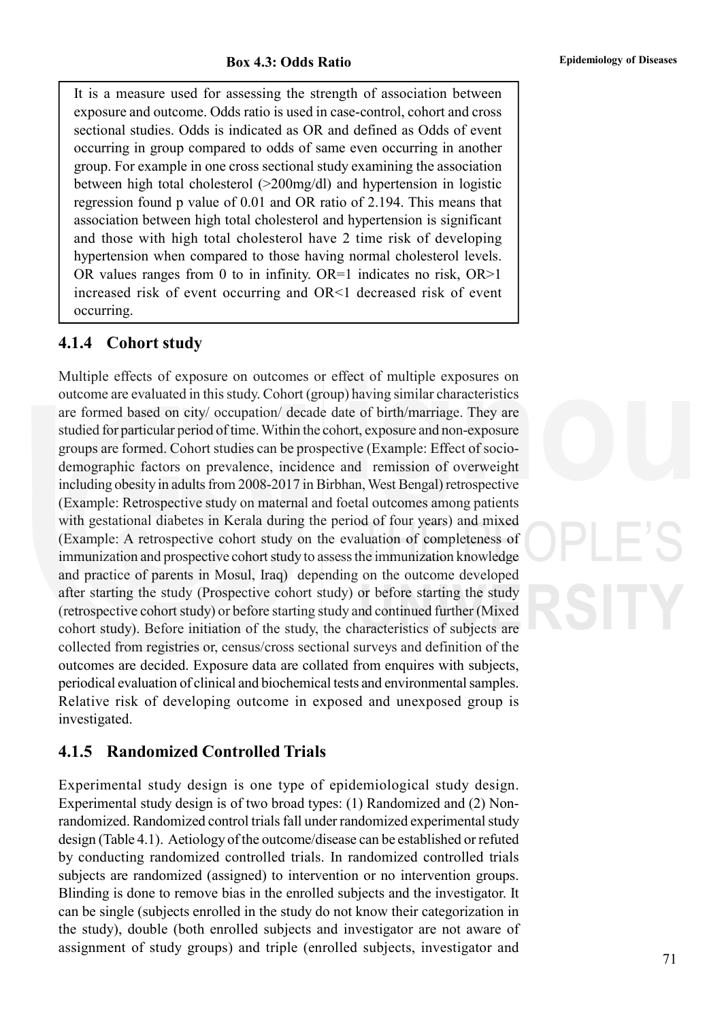It is a measure used for assessing the strength of association between exposure and outcome. Odds ratio is used in case-control, cohort and cross sectional studies. Odds is indicated as OR and defined as Odds of event occurring in group compared to odds of same even occurring in another group. For example in one cross sectional study examining the association between high total cholesterol (>200mg/dl) and hypertension in logistic regression found p value of 0.01 and OR ratio of 2.194. This means that association between high total cholesterol and hypertension is significant and those with high total cholesterol have 2 time risk of developing hypertension when compared to those having normal cholesterol levels. OR values ranges from 0 to in infinity.  $OR=1$  indicates no risk,  $OR>1$ increased risk of event occurring and OR<1 decreased risk of event occurring.

## **4.1.4 Cohort study**

Multiple effects of exposure on outcomes or effect of multiple exposures on outcome are evaluated in this study. Cohort (group) having similar characteristics are formed based on city/ occupation/ decade date of birth/marriage. They are studied for particular period of time. Within the cohort, exposure and non-exposure groups are formed. Cohort studies can be prospective (Example: Effect of sociodemographic factors on prevalence, incidence and remission of overweight including obesity in adults from 2008-2017 in Birbhan, West Bengal) retrospective (Example: Retrospective study on maternal and foetal outcomes among patients with gestational diabetes in Kerala during the period of four years) and mixed (Example: A retrospective cohort study on the evaluation of completeness of immunization and prospective cohort study to assess the immunization knowledge and practice of parents in Mosul, Iraq) depending on the outcome developed after starting the study (Prospective cohort study) or before starting the study (retrospective cohort study) or before starting study and continued further (Mixed cohort study). Before initiation of the study, the characteristics of subjects are collected from registries or, census/cross sectional surveys and definition of the outcomes are decided. Exposure data are collated from enquires with subjects, periodical evaluation of clinical and biochemical tests and environmental samples. Relative risk of developing outcome in exposed and unexposed group is investigated.

## **4.1.5 Randomized Controlled Trials**

Experimental study design is one type of epidemiological study design. Experimental study design is of two broad types: (1) Randomized and (2) Nonrandomized. Randomized control trials fall under randomized experimental study design (Table 4.1). Aetiology of the outcome/disease can be established or refuted by conducting randomized controlled trials. In randomized controlled trials subjects are randomized (assigned) to intervention or no intervention groups. Blinding is done to remove bias in the enrolled subjects and the investigator. It can be single (subjects enrolled in the study do not know their categorization in the study), double (both enrolled subjects and investigator are not aware of assignment of study groups) and triple (enrolled subjects, investigator and

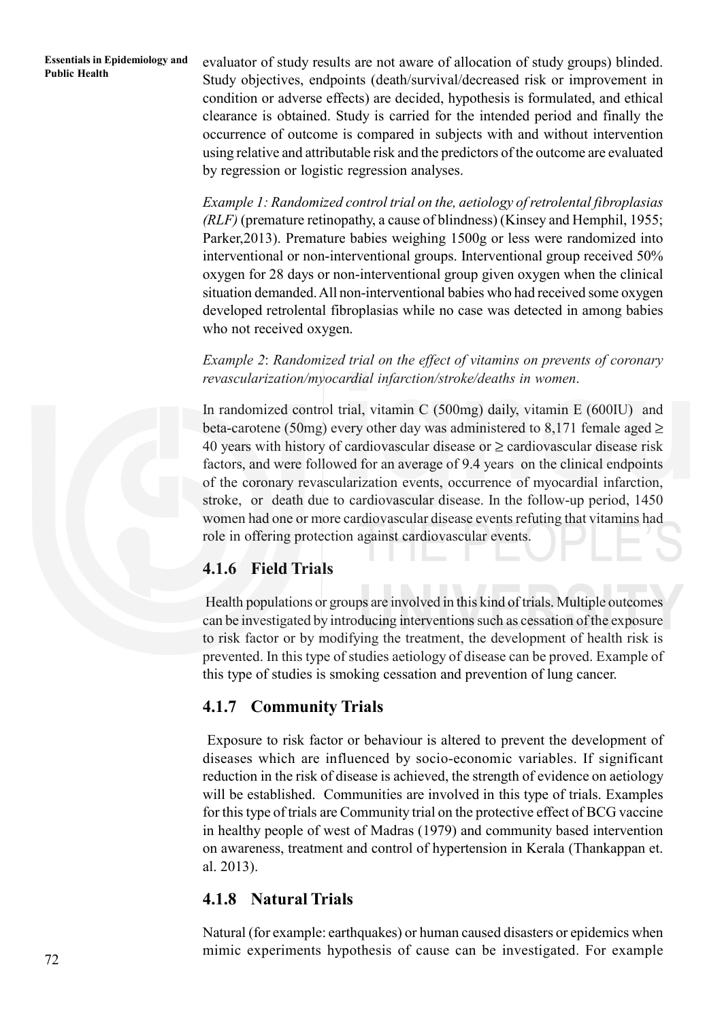**Essentials in Epidemiology and** evaluator of study results are not aware of allocation of study groups) blinded.<br>Public Health Study objectives, endpoints (death/survival/decreased risk or improvement in condition or adverse effects) are decided, hypothesis is formulated, and ethical clearance is obtained. Study is carried for the intended period and finally the occurrence of outcome is compared in subjects with and without intervention using relative and attributable risk and the predictors of the outcome are evaluated by regression or logistic regression analyses.

> *Example 1: Randomized control trial on the, aetiology of retrolental fibroplasias (RLF)* (premature retinopathy, a cause of blindness) (Kinsey and Hemphil, 1955; Parker,2013). Premature babies weighing 1500g or less were randomized into interventional or non-interventional groups. Interventional group received 50% oxygen for 28 days or non-interventional group given oxygen when the clinical situation demanded. All non-interventional babies who had received some oxygen developed retrolental fibroplasias while no case was detected in among babies who not received oxygen.

> *Example 2*: *Randomized trial on the effect of vitamins on prevents of coronary revascularization/myocardial infarction/stroke/deaths in women*.

> In randomized control trial, vitamin C (500mg) daily, vitamin E (600IU) and beta-carotene (50mg) every other day was administered to 8,171 female aged  $\geq$ 40 years with history of cardiovascular disease or  $\geq$  cardiovascular disease risk factors, and were followed for an average of 9.4 years on the clinical endpoints of the coronary revascularization events, occurrence of myocardial infarction, stroke, or death due to cardiovascular disease. In the follow-up period, 1450 women had one or more cardiovascular disease events refuting that vitamins had role in offering protection against cardiovascular events.

## **4.1.6 Field Trials**

Health populations or groups are involved in this kind of trials. Multiple outcomes can be investigated by introducing interventions such as cessation of the exposure to risk factor or by modifying the treatment, the development of health risk is prevented. In this type of studies aetiology of disease can be proved. Example of this type of studies is smoking cessation and prevention of lung cancer.

## **4.1.7 Community Trials**

 Exposure to risk factor or behaviour is altered to prevent the development of diseases which are influenced by socio-economic variables. If significant reduction in the risk of disease is achieved, the strength of evidence on aetiology will be established. Communities are involved in this type of trials. Examples for this type of trials are Community trial on the protective effect of BCG vaccine in healthy people of west of Madras (1979) and community based intervention on awareness, treatment and control of hypertension in Kerala (Thankappan et. al. 2013).

## **4.1.8 Natural Trials**

Natural (for example: earthquakes) or human caused disasters or epidemics when mimic experiments hypothesis of cause can be investigated. For example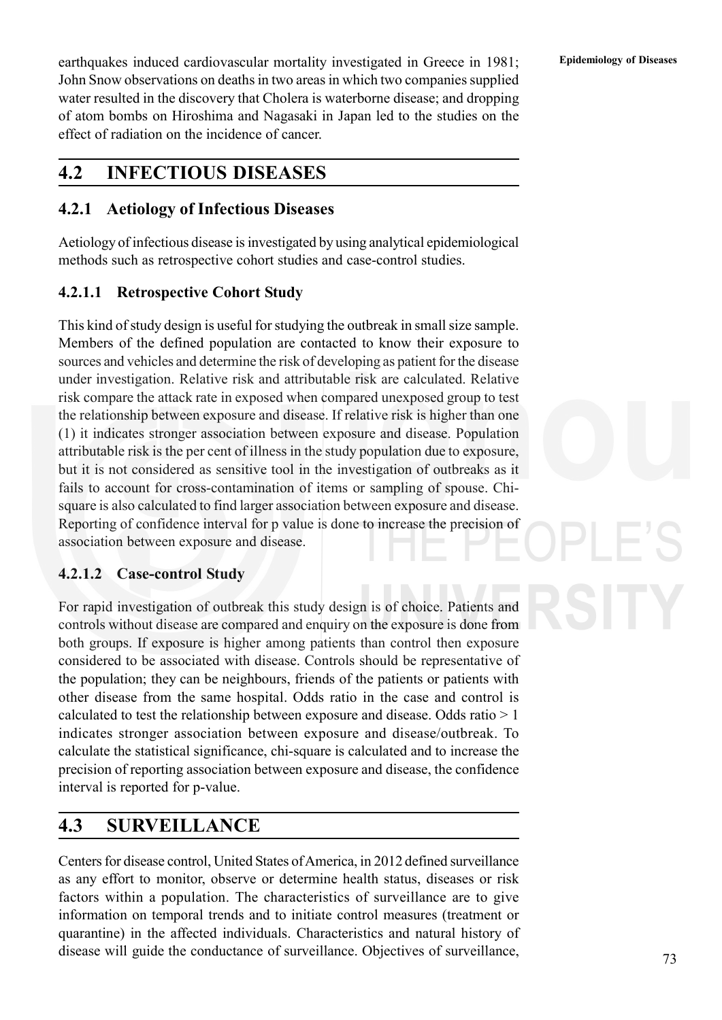earthquakes induced cardiovascular mortality investigated in Greece in 1981; **Epidemiology of Diseases** John Snow observations on deaths in two areas in which two companies supplied water resulted in the discovery that Cholera is waterborne disease; and dropping of atom bombs on Hiroshima and Nagasaki in Japan led to the studies on the effect of radiation on the incidence of cancer.

# **4.2 INFECTIOUS DISEASES**

## **4.2.1 Aetiology of Infectious Diseases**

Aetiology of infectious disease is investigated by using analytical epidemiological methods such as retrospective cohort studies and case-control studies.

## **4.2.1.1 Retrospective Cohort Study**

This kind of study design is useful for studying the outbreak in small size sample. Members of the defined population are contacted to know their exposure to sources and vehicles and determine the risk of developing as patient for the disease under investigation. Relative risk and attributable risk are calculated. Relative risk compare the attack rate in exposed when compared unexposed group to test the relationship between exposure and disease. If relative risk is higher than one (1) it indicates stronger association between exposure and disease. Population attributable risk is the per cent of illness in the study population due to exposure, but it is not considered as sensitive tool in the investigation of outbreaks as it fails to account for cross-contamination of items or sampling of spouse. Chisquare is also calculated to find larger association between exposure and disease. Reporting of confidence interval for p value is done to increase the precision of association between exposure and disease.

## **4.2.1.2 Case-control Study**

For rapid investigation of outbreak this study design is of choice. Patients and controls without disease are compared and enquiry on the exposure is done from both groups. If exposure is higher among patients than control then exposure considered to be associated with disease. Controls should be representative of the population; they can be neighbours, friends of the patients or patients with other disease from the same hospital. Odds ratio in the case and control is calculated to test the relationship between exposure and disease. Odds ratio > 1 indicates stronger association between exposure and disease/outbreak. To calculate the statistical significance, chi-square is calculated and to increase the precision of reporting association between exposure and disease, the confidence interval is reported for p-value.

# **4.3 SURVEILLANCE**

Centers for disease control, United States of America, in 2012 defined surveillance as any effort to monitor, observe or determine health status, diseases or risk factors within a population. The characteristics of surveillance are to give information on temporal trends and to initiate control measures (treatment or quarantine) in the affected individuals. Characteristics and natural history of disease will guide the conductance of surveillance. Objectives of surveillance,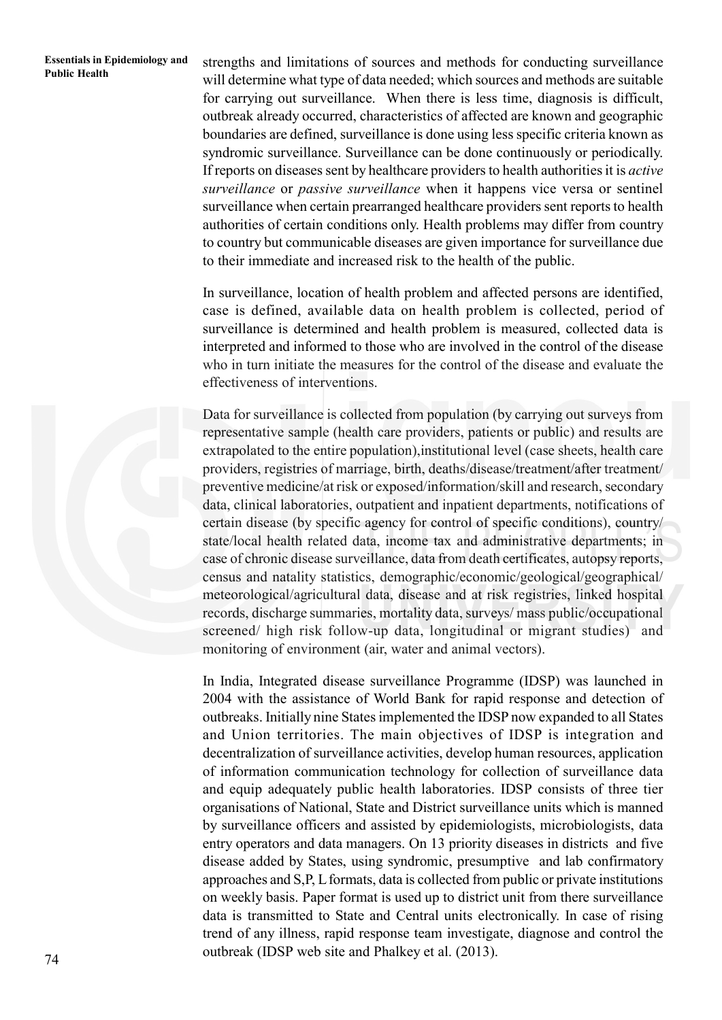**Essentials in Epidemiology and Strengths and limitations of sources and methods for conducting surveillance**<br>Public Health<br> $\frac{1}{2}$ will determine what type of data needed; which sources and methods are suitable for carrying out surveillance. When there is less time, diagnosis is difficult, outbreak already occurred, characteristics of affected are known and geographic boundaries are defined, surveillance is done using less specific criteria known as syndromic surveillance. Surveillance can be done continuously or periodically. If reports on diseases sent by healthcare providers to health authorities it is *active surveillance* or *passive surveillance* when it happens vice versa or sentinel surveillance when certain prearranged healthcare providers sent reports to health authorities of certain conditions only. Health problems may differ from country to country but communicable diseases are given importance for surveillance due to their immediate and increased risk to the health of the public.

> In surveillance, location of health problem and affected persons are identified, case is defined, available data on health problem is collected, period of surveillance is determined and health problem is measured, collected data is interpreted and informed to those who are involved in the control of the disease who in turn initiate the measures for the control of the disease and evaluate the effectiveness of interventions.

> Data for surveillance is collected from population (by carrying out surveys from representative sample (health care providers, patients or public) and results are extrapolated to the entire population),institutional level (case sheets, health care providers, registries of marriage, birth, deaths/disease/treatment/after treatment/ preventive medicine/at risk or exposed/information/skill and research, secondary data, clinical laboratories, outpatient and inpatient departments, notifications of certain disease (by specific agency for control of specific conditions), country/ state/local health related data, income tax and administrative departments; in case of chronic disease surveillance, data from death certificates, autopsy reports, census and natality statistics, demographic/economic/geological/geographical/ meteorological/agricultural data, disease and at risk registries, linked hospital records, discharge summaries, mortality data, surveys/ mass public/occupational screened/ high risk follow-up data, longitudinal or migrant studies) and monitoring of environment (air, water and animal vectors).

> In India, Integrated disease surveillance Programme (IDSP) was launched in 2004 with the assistance of World Bank for rapid response and detection of outbreaks. Initially nine States implemented the IDSP now expanded to all States and Union territories. The main objectives of IDSP is integration and decentralization of surveillance activities, develop human resources, application of information communication technology for collection of surveillance data and equip adequately public health laboratories. IDSP consists of three tier organisations of National, State and District surveillance units which is manned by surveillance officers and assisted by epidemiologists, microbiologists, data entry operators and data managers. On 13 priority diseases in districts and five disease added by States, using syndromic, presumptive and lab confirmatory approaches and S,P, L formats, data is collected from public or private institutions on weekly basis. Paper format is used up to district unit from there surveillance data is transmitted to State and Central units electronically. In case of rising trend of any illness, rapid response team investigate, diagnose and control the outbreak (IDSP web site and Phalkey et al. (2013).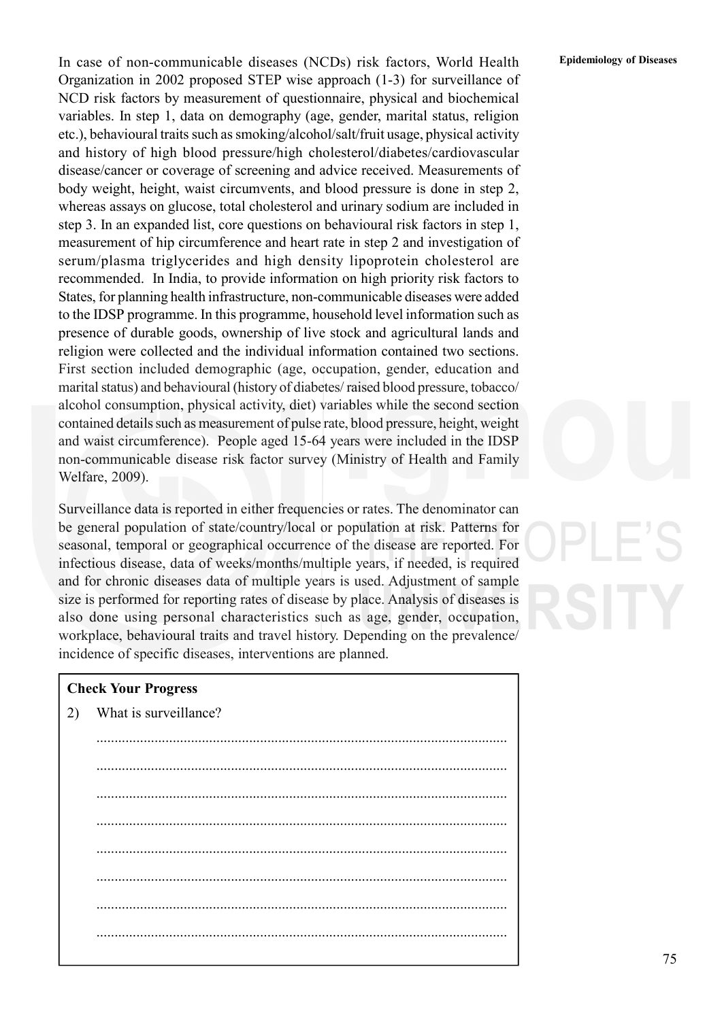In case of non-communicable diseases (NCDs) risk factors, World Health Epidemiology of Diseases Organization in 2002 proposed STEP wise approach (1-3) for surveillance of NCD risk factors by measurement of questionnaire, physical and biochemical variables. In step 1, data on demography (age, gender, marital status, religion etc.), behavioural traits such as smoking/alcohol/salt/fruit usage, physical activity and history of high blood pressure/high cholesterol/diabetes/cardiovascular disease/cancer or coverage of screening and advice received. Measurements of body weight, height, waist circumvents, and blood pressure is done in step 2, whereas assays on glucose, total cholesterol and urinary sodium are included in step 3. In an expanded list, core questions on behavioural risk factors in step 1, measurement of hip circumference and heart rate in step 2 and investigation of serum/plasma triglycerides and high density lipoprotein cholesterol are recommended. In India, to provide information on high priority risk factors to States, for planning health infrastructure, non-communicable diseases were added to the IDSP programme. In this programme, household level information such as presence of durable goods, ownership of live stock and agricultural lands and religion were collected and the individual information contained two sections. First section included demographic (age, occupation, gender, education and marital status) and behavioural (history of diabetes/ raised blood pressure, tobacco/ alcohol consumption, physical activity, diet) variables while the second section contained details such as measurement of pulse rate, blood pressure, height, weight and waist circumference). People aged 15-64 years were included in the IDSP non-communicable disease risk factor survey (Ministry of Health and Family Welfare, 2009).

Surveillance data is reported in either frequencies or rates. The denominator can be general population of state/country/local or population at risk. Patterns for seasonal, temporal or geographical occurrence of the disease are reported. For infectious disease, data of weeks/months/multiple years, if needed, is required and for chronic diseases data of multiple years is used. Adjustment of sample size is performed for reporting rates of disease by place. Analysis of diseases is also done using personal characteristics such as age, gender, occupation, workplace, behavioural traits and travel history. Depending on the prevalence/ incidence of specific diseases, interventions are planned.

| <b>Check Your Progress</b> |                       |  |  |  |
|----------------------------|-----------------------|--|--|--|
| 2)                         | What is surveillance? |  |  |  |
|                            |                       |  |  |  |
|                            |                       |  |  |  |
|                            |                       |  |  |  |
|                            |                       |  |  |  |
|                            |                       |  |  |  |
|                            |                       |  |  |  |
|                            |                       |  |  |  |
|                            |                       |  |  |  |
|                            |                       |  |  |  |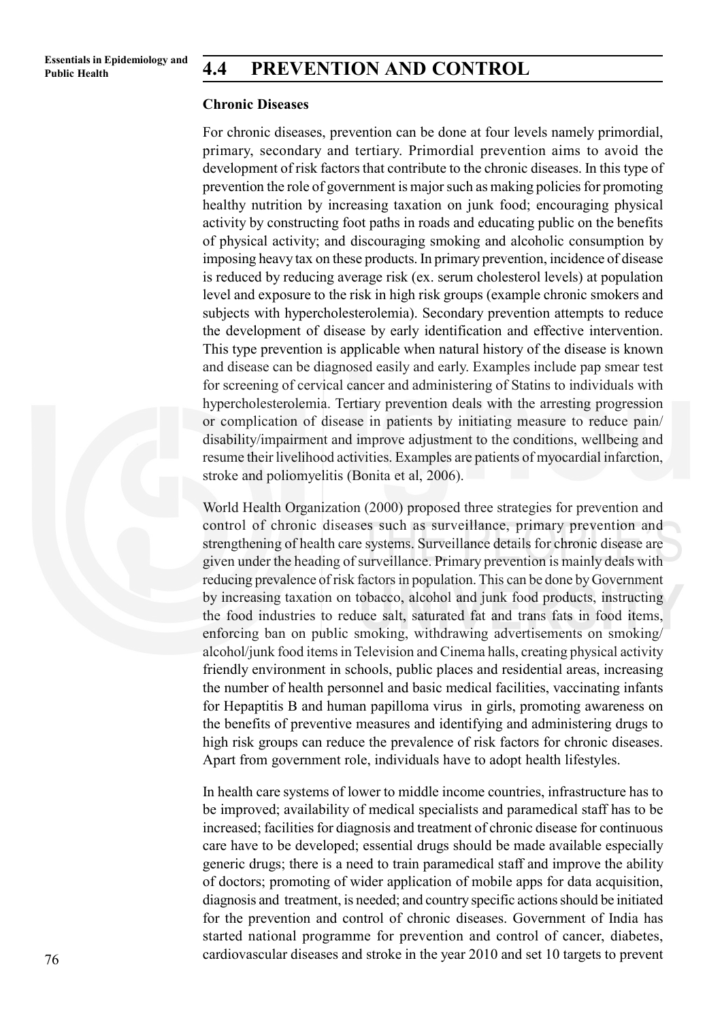### **Chronic Diseases**

For chronic diseases, prevention can be done at four levels namely primordial, primary, secondary and tertiary. Primordial prevention aims to avoid the development of risk factors that contribute to the chronic diseases. In this type of prevention the role of government is major such as making policies for promoting healthy nutrition by increasing taxation on junk food; encouraging physical activity by constructing foot paths in roads and educating public on the benefits of physical activity; and discouraging smoking and alcoholic consumption by imposing heavy tax on these products. In primary prevention, incidence of disease is reduced by reducing average risk (ex. serum cholesterol levels) at population level and exposure to the risk in high risk groups (example chronic smokers and subjects with hypercholesterolemia). Secondary prevention attempts to reduce the development of disease by early identification and effective intervention. This type prevention is applicable when natural history of the disease is known and disease can be diagnosed easily and early. Examples include pap smear test for screening of cervical cancer and administering of Statins to individuals with hypercholesterolemia. Tertiary prevention deals with the arresting progression or complication of disease in patients by initiating measure to reduce pain/ disability/impairment and improve adjustment to the conditions, wellbeing and resume their livelihood activities. Examples are patients of myocardial infarction, stroke and poliomyelitis (Bonita et al, 2006).

World Health Organization (2000) proposed three strategies for prevention and control of chronic diseases such as surveillance, primary prevention and strengthening of health care systems. Surveillance details for chronic disease are given under the heading of surveillance. Primary prevention is mainly deals with reducing prevalence of risk factors in population. This can be done by Government by increasing taxation on tobacco, alcohol and junk food products, instructing the food industries to reduce salt, saturated fat and trans fats in food items, enforcing ban on public smoking, withdrawing advertisements on smoking/ alcohol/junk food items in Television and Cinema halls, creating physical activity friendly environment in schools, public places and residential areas, increasing the number of health personnel and basic medical facilities, vaccinating infants for Hepaptitis B and human papilloma virus in girls, promoting awareness on the benefits of preventive measures and identifying and administering drugs to high risk groups can reduce the prevalence of risk factors for chronic diseases. Apart from government role, individuals have to adopt health lifestyles.

In health care systems of lower to middle income countries, infrastructure has to be improved; availability of medical specialists and paramedical staff has to be increased; facilities for diagnosis and treatment of chronic disease for continuous care have to be developed; essential drugs should be made available especially generic drugs; there is a need to train paramedical staff and improve the ability of doctors; promoting of wider application of mobile apps for data acquisition, diagnosis and treatment, is needed; and country specific actions should be initiated for the prevention and control of chronic diseases. Government of India has started national programme for prevention and control of cancer, diabetes, cardiovascular diseases and stroke in the year 2010 and set 10 targets to prevent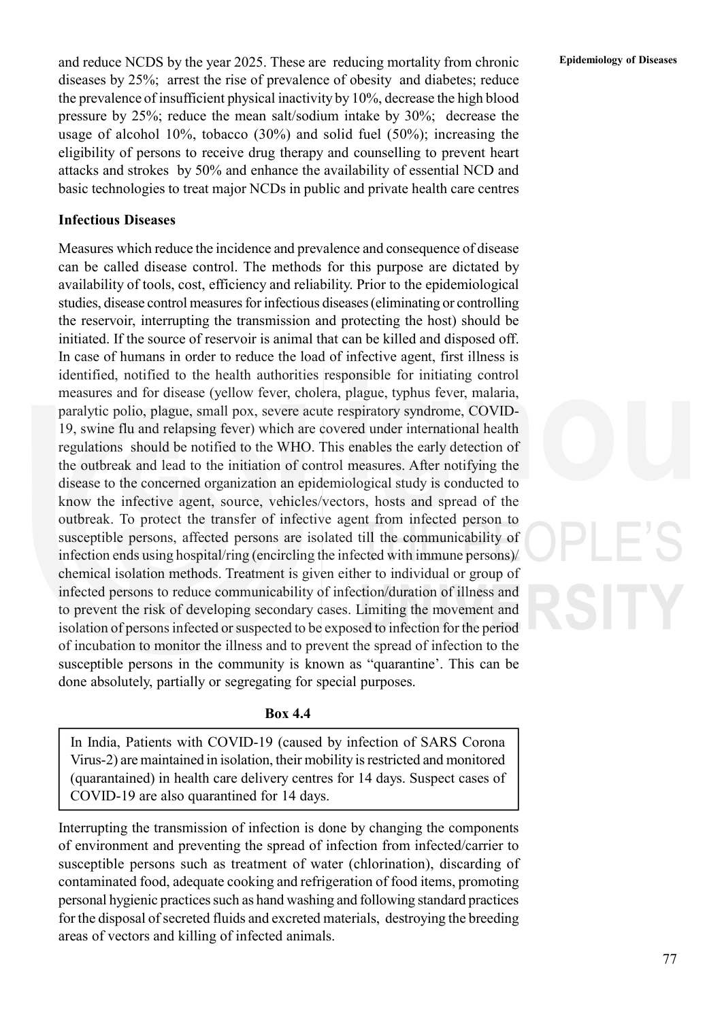and reduce NCDS by the year 2025. These are reducing mortality from chronic **Epidemiology of Diseases** diseases by 25%; arrest the rise of prevalence of obesity and diabetes; reduce the prevalence of insufficient physical inactivity by 10%, decrease the high blood pressure by 25%; reduce the mean salt/sodium intake by 30%; decrease the usage of alcohol 10%, tobacco (30%) and solid fuel (50%); increasing the eligibility of persons to receive drug therapy and counselling to prevent heart attacks and strokes by 50% and enhance the availability of essential NCD and basic technologies to treat major NCDs in public and private health care centres

### **Infectious Diseases**

Measures which reduce the incidence and prevalence and consequence of disease can be called disease control. The methods for this purpose are dictated by availability of tools, cost, efficiency and reliability. Prior to the epidemiological studies, disease control measures for infectious diseases (eliminating or controlling the reservoir, interrupting the transmission and protecting the host) should be initiated. If the source of reservoir is animal that can be killed and disposed off. In case of humans in order to reduce the load of infective agent, first illness is identified, notified to the health authorities responsible for initiating control measures and for disease (yellow fever, cholera, plague, typhus fever, malaria, paralytic polio, plague, small pox, severe acute respiratory syndrome, COVID-19, swine flu and relapsing fever) which are covered under international health regulations should be notified to the WHO. This enables the early detection of the outbreak and lead to the initiation of control measures. After notifying the disease to the concerned organization an epidemiological study is conducted to know the infective agent, source, vehicles/vectors, hosts and spread of the outbreak. To protect the transfer of infective agent from infected person to susceptible persons, affected persons are isolated till the communicability of infection ends using hospital/ring (encircling the infected with immune persons)/ chemical isolation methods. Treatment is given either to individual or group of infected persons to reduce communicability of infection/duration of illness and to prevent the risk of developing secondary cases. Limiting the movement and isolation of persons infected or suspected to be exposed to infection for the period of incubation to monitor the illness and to prevent the spread of infection to the susceptible persons in the community is known as "quarantine'. This can be done absolutely, partially or segregating for special purposes.

### **Box 4.4**

In India, Patients with COVID-19 (caused by infection of SARS Corona Virus-2) are maintained in isolation, their mobility is restricted and monitored (quarantained) in health care delivery centres for 14 days. Suspect cases of COVID-19 are also quarantined for 14 days.

Interrupting the transmission of infection is done by changing the components of environment and preventing the spread of infection from infected/carrier to susceptible persons such as treatment of water (chlorination), discarding of contaminated food, adequate cooking and refrigeration of food items, promoting personal hygienic practices such as hand washing and following standard practices for the disposal of secreted fluids and excreted materials, destroying the breeding areas of vectors and killing of infected animals.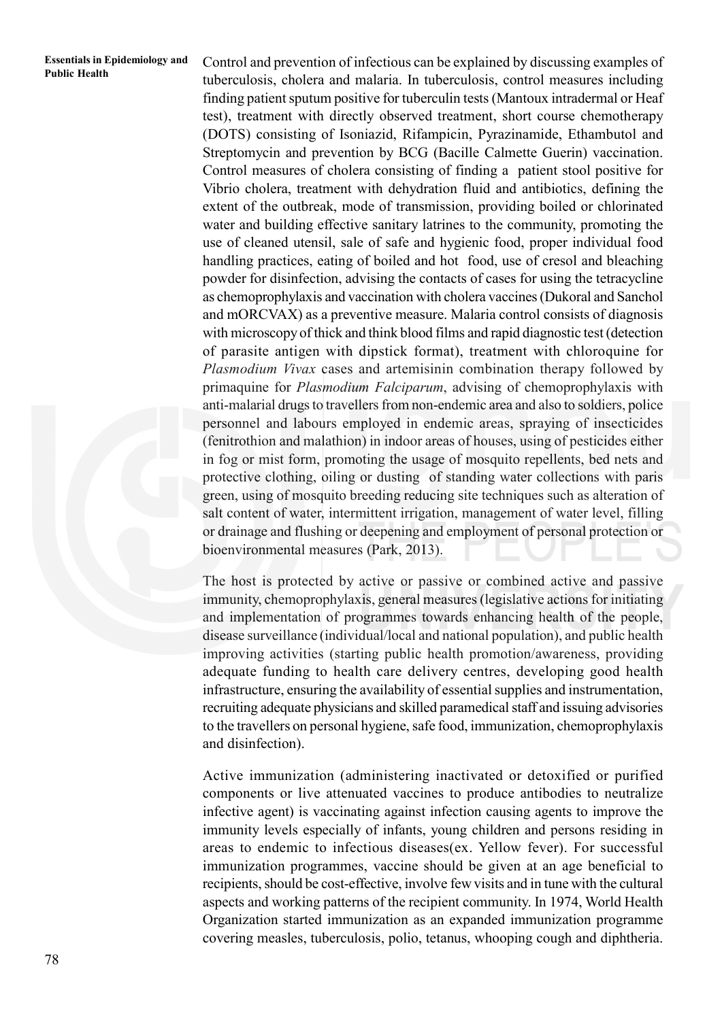**Essentials in Epidemiology and** Control and prevention of infectious can be explained by discussing examples of<br>Public Health<br> **Public Health** tuberculosis, cholera and malaria. In tuberculosis, control measures including finding patient sputum positive for tuberculin tests (Mantoux intradermal or Heaf test), treatment with directly observed treatment, short course chemotherapy (DOTS) consisting of Isoniazid, Rifampicin, Pyrazinamide, Ethambutol and Streptomycin and prevention by BCG (Bacille Calmette Guerin) vaccination. Control measures of cholera consisting of finding a patient stool positive for Vibrio cholera, treatment with dehydration fluid and antibiotics, defining the extent of the outbreak, mode of transmission, providing boiled or chlorinated water and building effective sanitary latrines to the community, promoting the use of cleaned utensil, sale of safe and hygienic food, proper individual food handling practices, eating of boiled and hot food, use of cresol and bleaching powder for disinfection, advising the contacts of cases for using the tetracycline as chemoprophylaxis and vaccination with cholera vaccines (Dukoral and Sanchol and mORCVAX) as a preventive measure. Malaria control consists of diagnosis with microscopy of thick and think blood films and rapid diagnostic test (detection of parasite antigen with dipstick format), treatment with chloroquine for *Plasmodium Vivax* cases and artemisinin combination therapy followed by primaquine for *Plasmodium Falciparum*, advising of chemoprophylaxis with anti-malarial drugs to travellers from non-endemic area and also to soldiers, police personnel and labours employed in endemic areas, spraying of insecticides (fenitrothion and malathion) in indoor areas of houses, using of pesticides either in fog or mist form, promoting the usage of mosquito repellents, bed nets and protective clothing, oiling or dusting of standing water collections with paris green, using of mosquito breeding reducing site techniques such as alteration of salt content of water, intermittent irrigation, management of water level, filling or drainage and flushing or deepening and employment of personal protection or bioenvironmental measures (Park, 2013).

> The host is protected by active or passive or combined active and passive immunity, chemoprophylaxis, general measures (legislative actions for initiating and implementation of programmes towards enhancing health of the people, disease surveillance (individual/local and national population), and public health improving activities (starting public health promotion/awareness, providing adequate funding to health care delivery centres, developing good health infrastructure, ensuring the availability of essential supplies and instrumentation, recruiting adequate physicians and skilled paramedical staff and issuing advisories to the travellers on personal hygiene, safe food, immunization, chemoprophylaxis and disinfection).

> Active immunization (administering inactivated or detoxified or purified components or live attenuated vaccines to produce antibodies to neutralize infective agent) is vaccinating against infection causing agents to improve the immunity levels especially of infants, young children and persons residing in areas to endemic to infectious diseases(ex. Yellow fever). For successful immunization programmes, vaccine should be given at an age beneficial to recipients, should be cost-effective, involve few visits and in tune with the cultural aspects and working patterns of the recipient community. In 1974, World Health Organization started immunization as an expanded immunization programme covering measles, tuberculosis, polio, tetanus, whooping cough and diphtheria.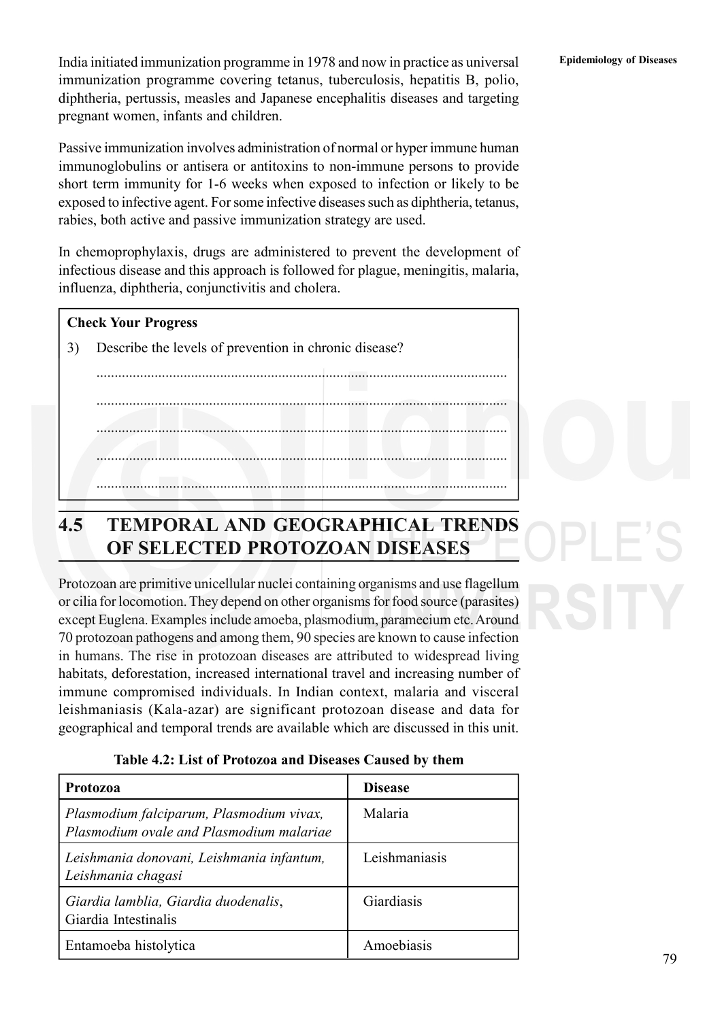India initiated immunization programme in 1978 and now in practice as universal Epidemiology of Diseases immunization programme covering tetanus, tuberculosis, hepatitis B, polio, diphtheria, pertussis, measles and Japanese encephalitis diseases and targeting pregnant women, infants and children.

Passive immunization involves administration of normal or hyper immune human immunoglobulins or antisera or antitoxins to non-immune persons to provide short term immunity for 1-6 weeks when exposed to infection or likely to be exposed to infective agent. For some infective diseases such as diphtheria, tetanus, rabies, both active and passive immunization strategy are used.

In chemoprophylaxis, drugs are administered to prevent the development of infectious disease and this approach is followed for plague, meningitis, malaria, influenza, diphtheria, conjunctivitis and cholera.

## **Check Your Progress**

3) Describe the levels of prevention in chronic disease?

................................................................................................................. ................................................................................................................. ................................................................................................................. .................................................................................................................

.................................................................................................................

# **4.5 TEMPORAL AND GEOGRAPHICAL TRENDS OF SELECTED PROTOZOAN DISEASES**

Protozoan are primitive unicellular nuclei containing organisms and use flagellum or cilia for locomotion. They depend on other organisms for food source (parasites) except Euglena. Examples include amoeba, plasmodium, paramecium etc. Around 70 protozoan pathogens and among them, 90 species are known to cause infection in humans. The rise in protozoan diseases are attributed to widespread living habitats, deforestation, increased international travel and increasing number of immune compromised individuals. In Indian context, malaria and visceral leishmaniasis (Kala-azar) are significant protozoan disease and data for geographical and temporal trends are available which are discussed in this unit.

| Protozoa                                                                             | <b>Disease</b> |  |
|--------------------------------------------------------------------------------------|----------------|--|
| Plasmodium falciparum, Plasmodium vivax,<br>Plasmodium ovale and Plasmodium malariae | Malaria        |  |
| Leishmania donovani, Leishmania infantum,<br>Leishmania chagasi                      | Leishmaniasis  |  |
| Giardia lamblia, Giardia duodenalis,<br>Giardia Intestinalis                         | Giardiasis     |  |
| Entamoeba histolytica                                                                | Amoebiasis     |  |

**Table 4.2: List of Protozoa and Diseases Caused by them**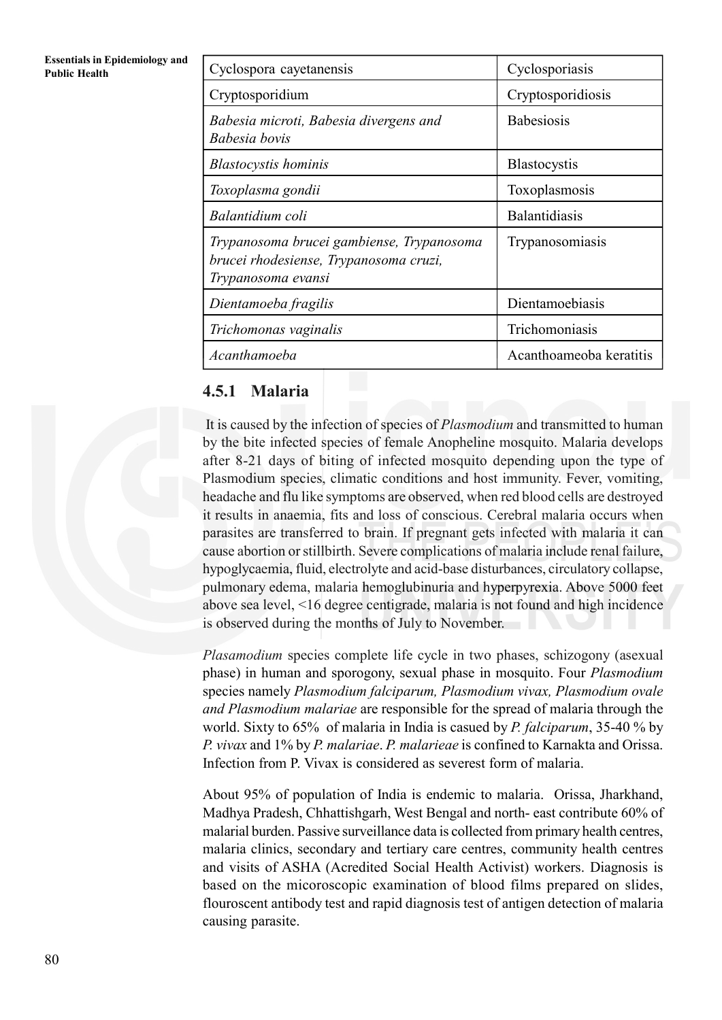| Essentials in Epidemiology and<br><b>Public Health</b> | Cyclospora cayetanensis                                                                                   | Cyclosporiasis          |
|--------------------------------------------------------|-----------------------------------------------------------------------------------------------------------|-------------------------|
|                                                        | Cryptosporidium                                                                                           | Cryptosporidiosis       |
|                                                        | Babesia microti, Babesia divergens and<br>Babesia bovis                                                   | <b>Babesiosis</b>       |
|                                                        | <b>Blastocystis</b> hominis                                                                               | <b>Blastocystis</b>     |
|                                                        | Toxoplasma gondii                                                                                         | Toxoplasmosis           |
|                                                        | Balantidium coli                                                                                          | Balantidiasis           |
|                                                        | Trypanosoma brucei gambiense, Trypanosoma<br>brucei rhodesiense, Trypanosoma cruzi,<br>Trypanosoma evansi | Trypanosomiasis         |
|                                                        | Dientamoeba fragilis                                                                                      | Dientamoebiasis         |
|                                                        | Trichomonas vaginalis                                                                                     | Trichomoniasis          |
|                                                        | Acanthamoeba                                                                                              | Acanthoameoba keratitis |

## **4.5.1 Malaria**

 It is caused by the infection of species of *Plasmodium* and transmitted to human by the bite infected species of female Anopheline mosquito. Malaria develops after 8-21 days of biting of infected mosquito depending upon the type of Plasmodium species, climatic conditions and host immunity. Fever, vomiting, headache and flu like symptoms are observed, when red blood cells are destroyed it results in anaemia, fits and loss of conscious. Cerebral malaria occurs when parasites are transferred to brain. If pregnant gets infected with malaria it can cause abortion or stillbirth. Severe complications of malaria include renal failure, hypoglycaemia, fluid, electrolyte and acid-base disturbances, circulatory collapse, pulmonary edema, malaria hemoglubinuria and hyperpyrexia. Above 5000 feet above sea level, <16 degree centigrade, malaria is not found and high incidence is observed during the months of July to November.

*Plasamodium* species complete life cycle in two phases, schizogony (asexual phase) in human and sporogony, sexual phase in mosquito. Four *Plasmodium* species namely *Plasmodium falciparum, Plasmodium vivax, Plasmodium ovale and Plasmodium malariae* are responsible for the spread of malaria through the world. Sixty to 65% of malaria in India is casued by *P. falciparum*, 35-40 % by *P. vivax* and 1% by *P. malariae*. *P. malarieae* is confined to Karnakta and Orissa. Infection from P. Vivax is considered as severest form of malaria.

About 95% of population of India is endemic to malaria. Orissa, Jharkhand, Madhya Pradesh, Chhattishgarh, West Bengal and north- east contribute 60% of malarial burden. Passive surveillance data is collected from primary health centres, malaria clinics, secondary and tertiary care centres, community health centres and visits of ASHA (Acredited Social Health Activist) workers. Diagnosis is based on the micoroscopic examination of blood films prepared on slides, flouroscent antibody test and rapid diagnosis test of antigen detection of malaria causing parasite.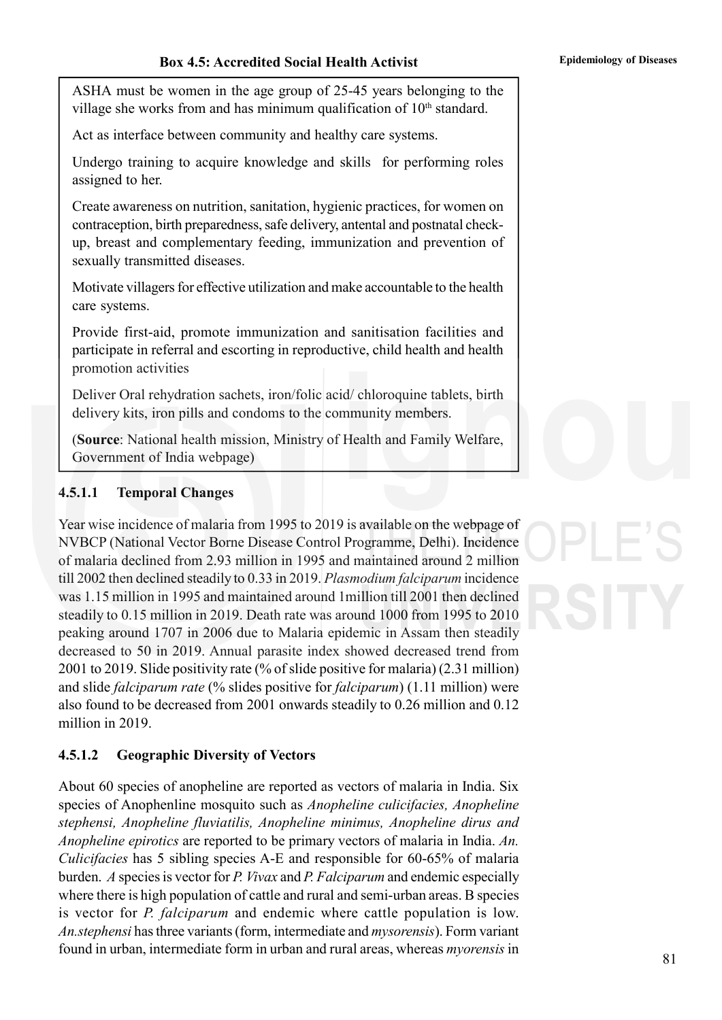### **Box 4.5: Accredited Social Health Activist Epidemiology of Diseases**

ASHA must be women in the age group of 25-45 years belonging to the village she works from and has minimum qualification of  $10<sup>th</sup>$  standard.

Act as interface between community and healthy care systems.

Undergo training to acquire knowledge and skills for performing roles assigned to her.

Create awareness on nutrition, sanitation, hygienic practices, for women on contraception, birth preparedness, safe delivery, antental and postnatal checkup, breast and complementary feeding, immunization and prevention of sexually transmitted diseases.

Motivate villagers for effective utilization and make accountable to the health care systems.

Provide first-aid, promote immunization and sanitisation facilities and participate in referral and escorting in reproductive, child health and health promotion activities

Deliver Oral rehydration sachets, iron/folic acid/ chloroquine tablets, birth delivery kits, iron pills and condoms to the community members.

(**Source**: National health mission, Ministry of Health and Family Welfare, Government of India webpage)

### **4.5.1.1 Temporal Changes**

Year wise incidence of malaria from 1995 to 2019 is available on the webpage of NVBCP (National Vector Borne Disease Control Programme, Delhi). Incidence of malaria declined from 2.93 million in 1995 and maintained around 2 million till 2002 then declined steadily to 0.33 in 2019. *Plasmodium falciparum* incidence was 1.15 million in 1995 and maintained around 1million till 2001 then declined steadily to 0.15 million in 2019. Death rate was around 1000 from 1995 to 2010 peaking around 1707 in 2006 due to Malaria epidemic in Assam then steadily decreased to 50 in 2019. Annual parasite index showed decreased trend from 2001 to 2019. Slide positivity rate (% of slide positive for malaria) (2.31 million) and slide *falciparum rate* (% slides positive for *falciparum*) (1.11 million) were also found to be decreased from 2001 onwards steadily to 0.26 million and 0.12 million in 2019.

### **4.5.1.2 Geographic Diversity of Vectors**

About 60 species of anopheline are reported as vectors of malaria in India. Six species of Anophenline mosquito such as *Anopheline culicifacies, Anopheline stephensi, Anopheline fluviatilis, Anopheline minimus, Anopheline dirus and Anopheline epirotics* are reported to be primary vectors of malaria in India. *An. Culicifacies* has 5 sibling species A-E and responsible for 60-65% of malaria burden. *A* species is vector for *P. Vivax* and *P. Falciparum* and endemic especially where there is high population of cattle and rural and semi-urban areas. B species is vector for *P. falciparum* and endemic where cattle population is low. *An.stephensi* has three variants (form, intermediate and *mysorensis*). Form variant found in urban, intermediate form in urban and rural areas, whereas *myorensis* in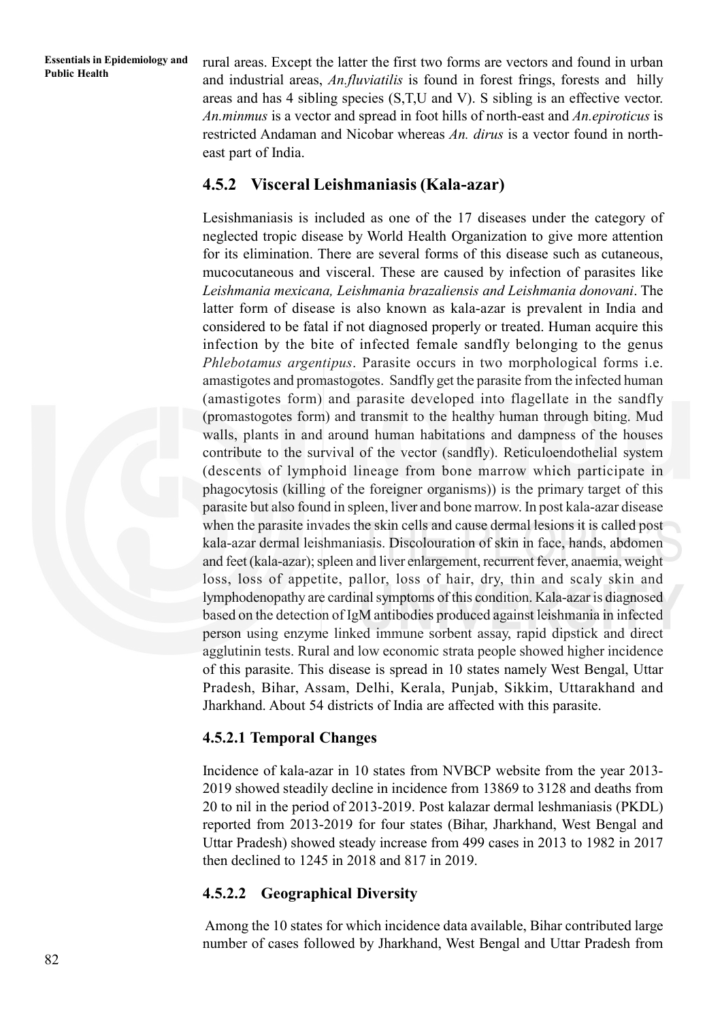**Essentials in Epidemiology and** rural areas. Except the latter the first two forms are vectors and found in urban<br>Public Health and industrial areas, *An.fluviatilis* is found in forest frings, forests and hilly areas and has 4 sibling species (S,T,U and V). S sibling is an effective vector. *An.minmus* is a vector and spread in foot hills of north-east and *An.epiroticus* is restricted Andaman and Nicobar whereas *An. dirus* is a vector found in northeast part of India.

## **4.5.2 Visceral Leishmaniasis (Kala-azar)**

Lesishmaniasis is included as one of the 17 diseases under the category of neglected tropic disease by World Health Organization to give more attention for its elimination. There are several forms of this disease such as cutaneous, mucocutaneous and visceral. These are caused by infection of parasites like *Leishmania mexicana, Leishmania brazaliensis and Leishmania donovani*. The latter form of disease is also known as kala-azar is prevalent in India and considered to be fatal if not diagnosed properly or treated. Human acquire this infection by the bite of infected female sandfly belonging to the genus *Phlebotamus argentipus*. Parasite occurs in two morphological forms i.e. amastigotes and promastogotes. Sandfly get the parasite from the infected human (amastigotes form) and parasite developed into flagellate in the sandfly (promastogotes form) and transmit to the healthy human through biting. Mud walls, plants in and around human habitations and dampness of the houses contribute to the survival of the vector (sandfly). Reticuloendothelial system (descents of lymphoid lineage from bone marrow which participate in phagocytosis (killing of the foreigner organisms)) is the primary target of this parasite but also found in spleen, liver and bone marrow. In post kala-azar disease when the parasite invades the skin cells and cause dermal lesions it is called post kala-azar dermal leishmaniasis. Discolouration of skin in face, hands, abdomen and feet (kala-azar); spleen and liver enlargement, recurrent fever, anaemia, weight loss, loss of appetite, pallor, loss of hair, dry, thin and scaly skin and lymphodenopathy are cardinal symptoms of this condition. Kala-azar is diagnosed based on the detection of IgM antibodies produced against leishmania in infected person using enzyme linked immune sorbent assay, rapid dipstick and direct agglutinin tests. Rural and low economic strata people showed higher incidence of this parasite. This disease is spread in 10 states namely West Bengal, Uttar Pradesh, Bihar, Assam, Delhi, Kerala, Punjab, Sikkim, Uttarakhand and Jharkhand. About 54 districts of India are affected with this parasite.

## **4.5.2.1 Temporal Changes**

Incidence of kala-azar in 10 states from NVBCP website from the year 2013- 2019 showed steadily decline in incidence from 13869 to 3128 and deaths from 20 to nil in the period of 2013-2019. Post kalazar dermal leshmaniasis (PKDL) reported from 2013-2019 for four states (Bihar, Jharkhand, West Bengal and Uttar Pradesh) showed steady increase from 499 cases in 2013 to 1982 in 2017 then declined to 1245 in 2018 and 817 in 2019.

## **4.5.2.2 Geographical Diversity**

 Among the 10 states for which incidence data available, Bihar contributed large number of cases followed by Jharkhand, West Bengal and Uttar Pradesh from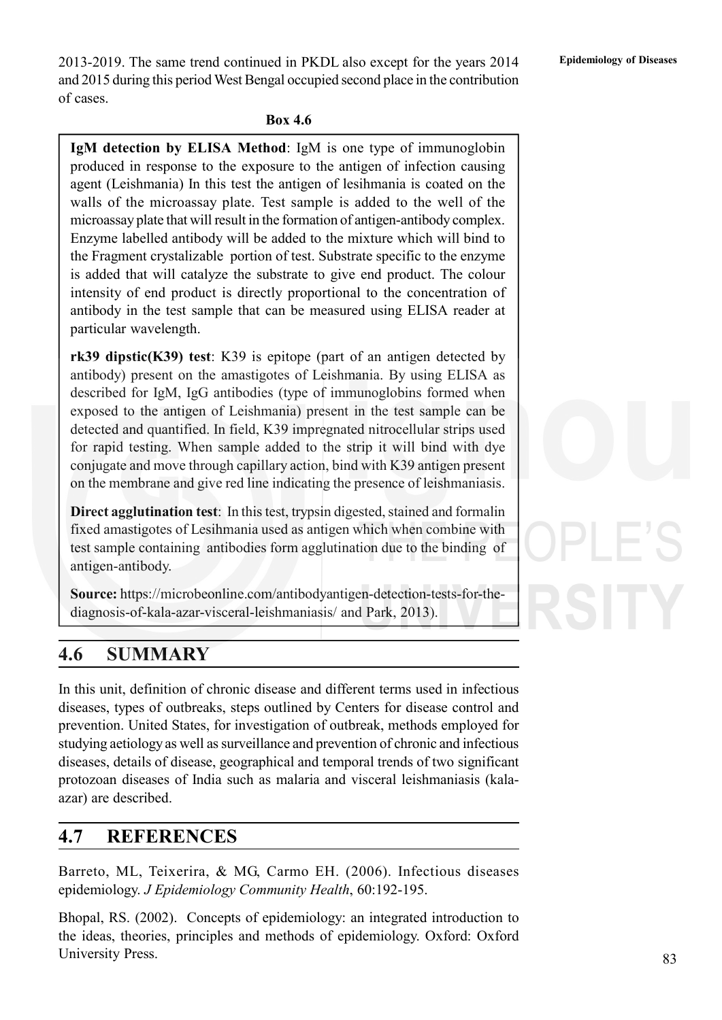2013-2019. The same trend continued in PKDL also except for the years 2014 **Epidemiology of Diseases** and 2015 during this period West Bengal occupied second place in the contribution of cases.

### **Box 4.6**

**IgM detection by ELISA Method**: IgM is one type of immunoglobin produced in response to the exposure to the antigen of infection causing agent (Leishmania) In this test the antigen of lesihmania is coated on the walls of the microassay plate. Test sample is added to the well of the microassay plate that will result in the formation of antigen-antibody complex. Enzyme labelled antibody will be added to the mixture which will bind to the Fragment crystalizable portion of test. Substrate specific to the enzyme is added that will catalyze the substrate to give end product. The colour intensity of end product is directly proportional to the concentration of antibody in the test sample that can be measured using ELISA reader at particular wavelength.

**rk39 dipstic(K39) test**: K39 is epitope (part of an antigen detected by antibody) present on the amastigotes of Leishmania. By using ELISA as described for IgM, IgG antibodies (type of immunoglobins formed when exposed to the antigen of Leishmania) present in the test sample can be detected and quantified. In field, K39 impregnated nitrocellular strips used for rapid testing. When sample added to the strip it will bind with dye conjugate and move through capillary action, bind with K39 antigen present on the membrane and give red line indicating the presence of leishmaniasis.

**Direct agglutination test**: In this test, trypsin digested, stained and formalin fixed amastigotes of Lesihmania used as antigen which when combine with test sample containing antibodies form agglutination due to the binding of antigen-antibody.

**Source:** https://microbeonline.com/antibodyantigen-detection-tests-for-thediagnosis-of-kala-azar-visceral-leishmaniasis/ and Park, 2013).

## **4.6 SUMMARY**

In this unit, definition of chronic disease and different terms used in infectious diseases, types of outbreaks, steps outlined by Centers for disease control and prevention. United States, for investigation of outbreak, methods employed for studying aetiology as well as surveillance and prevention of chronic and infectious diseases, details of disease, geographical and temporal trends of two significant protozoan diseases of India such as malaria and visceral leishmaniasis (kalaazar) are described.

## **4.7 REFERENCES**

Barreto, ML, Teixerira, & MG, Carmo EH. (2006). Infectious diseases epidemiology. *J Epidemiology Community Health*, 60:192-195.

Bhopal, RS. (2002). Concepts of epidemiology: an integrated introduction to the ideas, theories, principles and methods of epidemiology. Oxford: Oxford University Press.

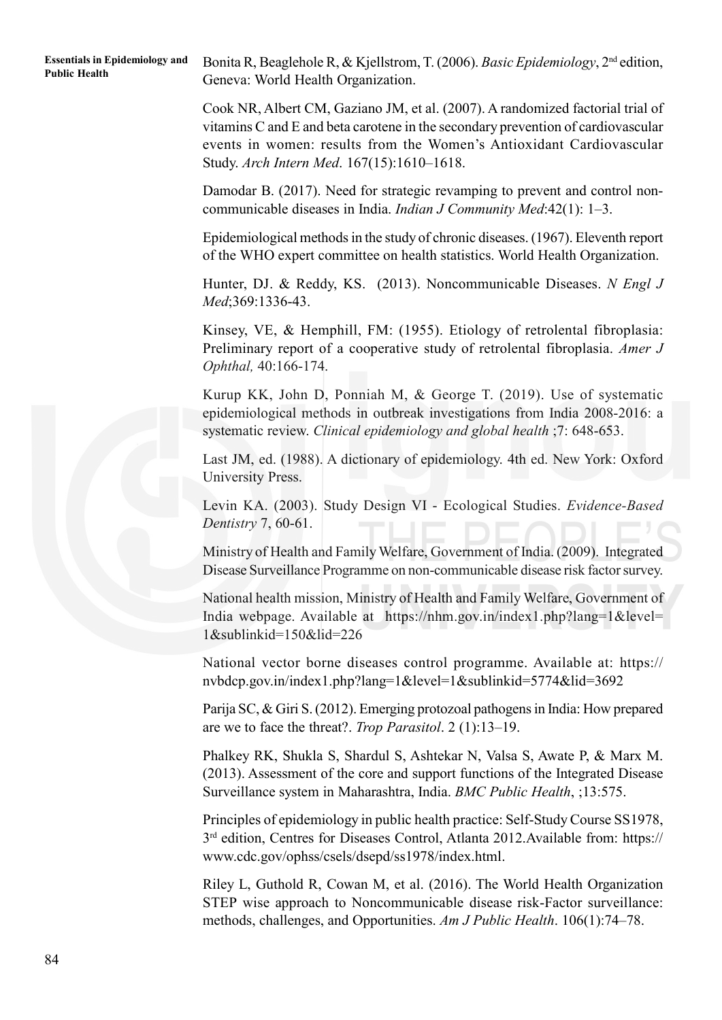**Essentials in Epidemiology and** Bonita R, Beaglehole R, & Kjellstrom, T. (2006). *Basic Epidemiology*, 2<sup>nd</sup> edition, Public Health Geneva: World Health Organization.

> Cook NR, Albert CM, Gaziano JM, et al. (2007). A randomized factorial trial of vitamins C and E and beta carotene in the secondary prevention of cardiovascular events in women: results from the Women's Antioxidant Cardiovascular Study. *Arch Intern Med*. 167(15):1610–1618.

> Damodar B. (2017). Need for strategic revamping to prevent and control noncommunicable diseases in India. *Indian J Community Med*:42(1): 1–3.

> Epidemiological methods in the study of chronic diseases. (1967). Eleventh report of the WHO expert committee on health statistics. World Health Organization.

> Hunter, DJ. & Reddy, KS. (2013). Noncommunicable Diseases. *N Engl J Med*;369:1336-43.

> Kinsey, VE, & Hemphill, FM: (1955). Etiology of retrolental fibroplasia: Preliminary report of a cooperative study of retrolental fibroplasia. *Amer J Ophthal,* 40:166-174.

> Kurup KK, John D, Ponniah M, & George T. (2019). Use of systematic epidemiological methods in outbreak investigations from India 2008-2016: a systematic review. *Clinical epidemiology and global health* ;7: 648-653.

> Last JM, ed. (1988). A dictionary of epidemiology. 4th ed. New York: Oxford University Press.

> Levin KA. (2003). Study Design VI - Ecological Studies. *Evidence-Based Dentistry* 7, 60-61.

> Ministry of Health and Family Welfare, Government of India. (2009). Integrated Disease Surveillance Programme on non-communicable disease risk factor survey.

> National health mission, Ministry of Health and Family Welfare, Government of India webpage. Available at https://nhm.gov.in/index1.php?lang=1&level= 1&sublinkid=150&lid=226

> National vector borne diseases control programme. Available at: https:// nvbdcp.gov.in/index1.php?lang=1&level=1&sublinkid=5774&lid=3692

> Parija SC, & Giri S. (2012). Emerging protozoal pathogens in India: How prepared are we to face the threat?. *Trop Parasitol*. 2 (1):13–19.

> Phalkey RK, Shukla S, Shardul S, Ashtekar N, Valsa S, Awate P, & Marx M. (2013). Assessment of the core and support functions of the Integrated Disease Surveillance system in Maharashtra, India. *BMC Public Health*, ;13:575.

> Principles of epidemiology in public health practice: Self-Study Course SS1978, 3rd edition, Centres for Diseases Control, Atlanta 2012.Available from: https:// www.cdc.gov/ophss/csels/dsepd/ss1978/index.html.

> Riley L, Guthold R, Cowan M, et al. (2016). The World Health Organization STEP wise approach to Noncommunicable disease risk-Factor surveillance: methods, challenges, and Opportunities. *Am J Public Health*. 106(1):74–78.